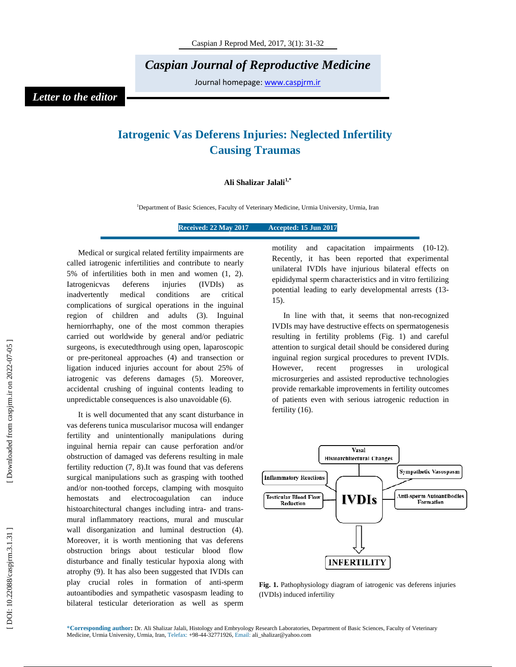*Caspian Journal of Reproductive Medicine* 

Journal homepage: www.caspjrm.ir

## *Letter to the editor*

## **Iatrogenic Vas Deferens Injuries: Neglected Infertility Causing Traumas**

## **Ali Shalizar Jalali1,\***

<sup>1</sup>Department of Basic Sciences, Faculty of Veterinary Medicine, Urmia University, Urmia, Iran

**Received: 22 May 2017 Accepted: 15 Jun 2017** 

Medical or surgical related fertility impairments are called iatrogenic infertilities and contribute to nearly 5% of infertilities both in men and women (1, 2). Iatrogenicvas deferens injuries (IVDIs) as inadvertently medical conditions are critical complications of surgical operations in the inguinal region of children and adults (3). Inguinal herniorrhaphy, one of the most common therapies carried out worldwide by general and/or pediatric surgeons, is executedthrough using open, laparoscopic or pre-peritoneal approaches (4) and transection or ligation induced injuries account for about 25% of iatrogenic vas deferens damages (5). Moreover, accidental crushing of inguinal contents leading to unpredictable consequences is also unavoidable (6).

It is well documented that any scant disturbance in vas deferens tunica muscularisor mucosa will endanger fertility and unintentionally manipulations during inguinal hernia repair can cause perforation and/or obstruction of damaged vas deferens resulting in male fertility reduction (7, 8).It was found that vas deferens surgical manipulations such as grasping with toothed and/or non-toothed forceps, clamping with mosquito hemostats and electrocoagulation can induce histoarchitectural changes including intra- and transmural inflammatory reactions, mural and muscular wall disorganization and luminal destruction (4). Moreover, it is worth mentioning that vas deferens obstruction brings about testicular blood flow disturbance and finally testicular hypoxia along with atrophy (9). It has also been suggested that IVDIs can play crucial roles in formation of anti-sperm autoantibodies and sympathetic vasospasm leading to bilateral testicular deterioration as well as sperm motility and capacitation impairments (10-12). Recently, it has been reported that experimental unilateral IVDIs have injurious bilateral effects on epididymal sperm characteristics and in vitro fertilizing potential leading to early developmental arrests (13- 15).

In line with that, it seems that non-recognized IVDIs may have destructive effects on spermatogenesis resulting in fertility problems (Fig. 1) and careful attention to surgical detail should be considered during inguinal region surgical procedures to prevent IVDIs. However, recent progresses in urological microsurgeries and assisted reproductive technologies provide remarkable improvements in fertility outcomes of patients even with serious iatrogenic reduction in fertility (16).



**Fig. 1.** Pathophysiology diagram of iatrogenic vas deferens injuries (IVDIs) induced infertility